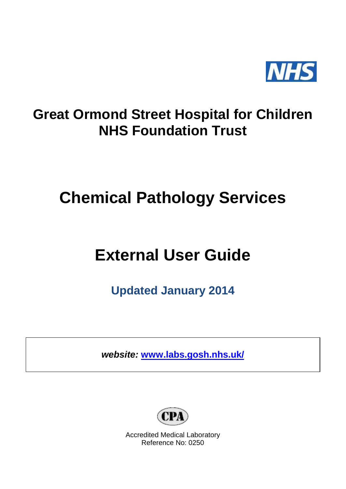

## **Great Ormond Street Hospital for Children NHS Foundation Trust**

## **Chemical Pathology Services**

# **External User Guide**

**Updated January 2014**

*website:* **[www.labs.gosh.nhs.uk/](http://www.labs.gosh.nhs.uk/)**



Accredited Medical Laboratory Reference No: 0250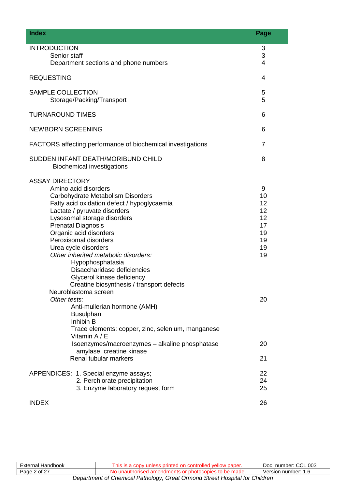| <b>Index</b>                                                                                                                                                                                                                                                                                                                                                                                                                                                                                            | Page                                                    |
|---------------------------------------------------------------------------------------------------------------------------------------------------------------------------------------------------------------------------------------------------------------------------------------------------------------------------------------------------------------------------------------------------------------------------------------------------------------------------------------------------------|---------------------------------------------------------|
| <b>INTRODUCTION</b><br>Senior staff<br>Department sections and phone numbers                                                                                                                                                                                                                                                                                                                                                                                                                            | 3<br>3<br>4                                             |
| <b>REQUESTING</b>                                                                                                                                                                                                                                                                                                                                                                                                                                                                                       | 4                                                       |
| <b>SAMPLE COLLECTION</b><br>Storage/Packing/Transport                                                                                                                                                                                                                                                                                                                                                                                                                                                   | 5<br>5                                                  |
| <b>TURNAROUND TIMES</b>                                                                                                                                                                                                                                                                                                                                                                                                                                                                                 | 6                                                       |
| <b>NEWBORN SCREENING</b>                                                                                                                                                                                                                                                                                                                                                                                                                                                                                | 6                                                       |
| FACTORS affecting performance of biochemical investigations                                                                                                                                                                                                                                                                                                                                                                                                                                             | $\overline{7}$                                          |
| SUDDEN INFANT DEATH/MORIBUND CHILD<br><b>Biochemical investigations</b>                                                                                                                                                                                                                                                                                                                                                                                                                                 | 8                                                       |
| <b>ASSAY DIRECTORY</b><br>Amino acid disorders<br>Carbohydrate Metabolism Disorders<br>Fatty acid oxidation defect / hypoglycaemia<br>Lactate / pyruvate disorders<br>Lysosomal storage disorders<br><b>Prenatal Diagnosis</b><br>Organic acid disorders<br>Peroxisomal disorders<br>Urea cycle disorders<br>Other inherited metabolic disorders:<br>Hypophosphatasia<br>Disaccharidase deficiencies<br>Glycerol kinase deficiency<br>Creatine biosynthesis / transport defects<br>Neuroblastoma screen | 9<br>10<br>12<br>12<br>12<br>17<br>19<br>19<br>19<br>19 |
| Other tests:<br>Anti-mullerian hormone (AMH)<br><b>Busulphan</b><br>Inhibin B<br>Trace elements: copper, zinc, selenium, manganese<br>Vitamin A / E                                                                                                                                                                                                                                                                                                                                                     | 20                                                      |
| Isoenzymes/macroenzymes - alkaline phosphatase<br>amylase, creatine kinase                                                                                                                                                                                                                                                                                                                                                                                                                              | 20                                                      |
| Renal tubular markers                                                                                                                                                                                                                                                                                                                                                                                                                                                                                   | 21                                                      |
| APPENDICES: 1. Special enzyme assays;<br>2. Perchlorate precipitation<br>3. Enzyme laboratory request form                                                                                                                                                                                                                                                                                                                                                                                              | 22<br>24<br>25                                          |
| <b>INDEX</b>                                                                                                                                                                                                                                                                                                                                                                                                                                                                                            | 26                                                      |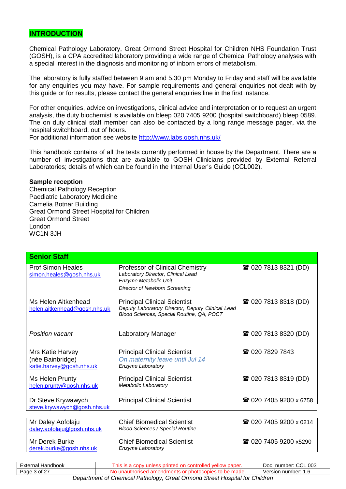#### **INTRODUCTION**

Chemical Pathology Laboratory, Great Ormond Street Hospital for Children NHS Foundation Trust (GOSH), is a CPA accredited laboratory providing a wide range of Chemical Pathology analyses with a special interest in the diagnosis and monitoring of inborn errors of metabolism.

The laboratory is fully staffed between 9 am and 5.30 pm Monday to Friday and staff will be available for any enquiries you may have. For sample requirements and general enquiries not dealt with by this guide or for results, please contact the general enquiries line in the first instance.

For other enquiries, advice on investigations, clinical advice and interpretation or to request an urgent analysis, the duty biochemist is available on bleep 020 7405 9200 (hospital switchboard) bleep 0589. The on duty clinical staff member can also be contacted by a long range message pager, via the hospital switchboard, out of hours.

For additional information see website<http://www.labs.gosh.nhs.uk/>

This handbook contains of all the tests currently performed in house by the Department. There are a number of investigations that are available to GOSH Clinicians provided by External Referral Laboratories; details of which can be found in the Internal User's Guide (CCL002).

#### **Sample reception**

Chemical Pathology Reception Paediatric Laboratory Medicine Camelia Botnar Building Great Ormond Street Hospital for Children Great Ormond Street London WC1N 3JH

| <b>Senior Staff</b>                                              |                                                                                                                                      |                               |
|------------------------------------------------------------------|--------------------------------------------------------------------------------------------------------------------------------------|-------------------------------|
| <b>Prof Simon Heales</b><br>simon.heales@gosh.nhs.uk             | Professor of Clinical Chemistry<br>Laboratory Director, Clinical Lead<br>Enzyme Metabolic Unit<br>Director of Newborn Screening      | <b>雷 020 7813 8321 (DD)</b>   |
| Ms Helen Aitkenhead<br>helen.aitkenhead@gosh.nhs.uk              | <b>Principal Clinical Scientist</b><br>Deputy Laboratory Director, Deputy Clinical Lead<br>Blood Sciences, Special Routine, QA, POCT | <b>雷 020 7813 8318 (DD)</b>   |
| <b>Position vacant</b>                                           | Laboratory Manager                                                                                                                   | <b>■ 020 7813 8320 (DD)</b>   |
| Mrs Katie Harvey<br>(née Bainbridge)<br>katie.harvey@gosh.nhs.uk | <b>Principal Clinical Scientist</b><br>On maternity leave until Jul 14<br><b>Enzyme Laboratory</b>                                   | ☎ 020 7829 7843               |
| Ms Helen Prunty<br>helen.prunty@gosh.nhs.uk                      | <b>Principal Clinical Scientist</b><br><b>Metabolic Laboratory</b>                                                                   | <b>■ 020 7813 8319 (DD)</b>   |
| Dr Steve Krywawych<br>steve.krywawych@gosh.nhs.uk                | <b>Principal Clinical Scientist</b>                                                                                                  | <b>■ 020 7405 9200 x 6758</b> |
|                                                                  |                                                                                                                                      |                               |
| Mr Daley Aofolaju<br>daley.aofolaju@gosh.nhs.uk                  | <b>Chief Biomedical Scientist</b><br><b>Blood Sciences / Special Routine</b>                                                         | <b>■ 020 7405 9200 x 0214</b> |
| Mr Derek Burke<br>derek.burke@gosh.nhs.uk                        | <b>Chief Biomedical Scientist</b><br>Enzyme Laboratory                                                                               | <b>■ 020 7405 9200 x5290</b>  |
|                                                                  |                                                                                                                                      |                               |

| External Handbook                                                           | This is a copy unless printed on controlled yellow paper. | Doc. number: CCL 003 |
|-----------------------------------------------------------------------------|-----------------------------------------------------------|----------------------|
| Page 3 of 27                                                                | No unauthorised amendments or photocopies to be made.     | Version number: 1.6  |
| Department of Chemical Pathology, Great Ormond Street Hospital for Children |                                                           |                      |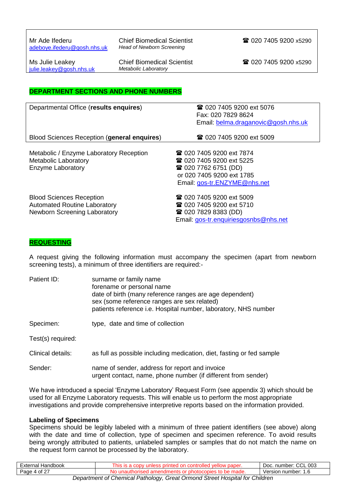Mr Ade Ifederu Chief Biomedical Scientist **1989 1200 7405 9200 x5290**<br>adebove.ifederu@gosh.nhs.uk Head of Newborn Screening  $adeboye.$ ifederu@gosh.nhs.uk

[julie.leakey@gosh.nhs.uk](mailto:julie.leakey@gosh.nhs.uk)

Ms Julie Leakey **Chief Biomedical Scientist 1988** 020 7405 9200 x5290 <br>
iulie leakey@gosh.nhs uk Metabolic Laboratory

#### **DEPARTMENT SECTIONS AND PHONE NUMBERS**

| Departmental Office (results enquires)                                                                 | <b>■ 020 7405 9200 ext 5076</b><br>Fax: 020 7829 8624                                                                                                          |
|--------------------------------------------------------------------------------------------------------|----------------------------------------------------------------------------------------------------------------------------------------------------------------|
|                                                                                                        | Email: belma.draganovic@gosh.nhs.uk                                                                                                                            |
| Blood Sciences Reception (general enquires)                                                            | <b>■ 020 7405 9200 ext 5009</b>                                                                                                                                |
| Metabolic / Enzyme Laboratory Reception<br><b>Metabolic Laboratory</b><br>Enzyme Laboratory            | <b>■ 020 7405 9200 ext 7874</b><br><b>雷 020 7405 9200 ext 5225</b><br><b>雷 020 7762 6751 (DD)</b><br>or 020 7405 9200 ext 1785<br>Email: gos-tr.ENZYME@nhs.net |
| <b>Blood Sciences Reception</b><br><b>Automated Routine Laboratory</b><br>Newborn Screening Laboratory | <b>■ 020 7405 9200 ext 5009</b><br><b>■ 020 7405 9200 ext 5710</b><br><b>■ 020 7829 8383 (DD)</b><br>Email: gos-tr.enguiriesgosnbs@nhs.net                     |

#### **REQUESTING**

A request giving the following information must accompany the specimen (apart from newborn screening tests), a minimum of three identifiers are required:-

| Patient ID:       | surname or family name<br>forename or personal name<br>date of birth (many reference ranges are age dependent)<br>sex (some reference ranges are sex related)<br>patients reference i.e. Hospital number, laboratory, NHS number |
|-------------------|----------------------------------------------------------------------------------------------------------------------------------------------------------------------------------------------------------------------------------|
| Specimen:         | type, date and time of collection                                                                                                                                                                                                |
| Test(s) required: |                                                                                                                                                                                                                                  |
| Clinical details: | as full as possible including medication, diet, fasting or fed sample                                                                                                                                                            |
| Sender:           | name of sender, address for report and invoice<br>urgent contact, name, phone number (if different from sender)                                                                                                                  |

We have introduced a special 'Enzyme Laboratory' Request Form (see appendix 3) which should be used for all Enzyme Laboratory requests. This will enable us to perform the most appropriate investigations and provide comprehensive interpretive reports based on the information provided.

#### **Labeling of Specimens**

Specimens should be legibly labeled with a minimum of three patient identifiers (see above) along with the date and time of collection, type of specimen and specimen reference. To avoid results being wrongly attributed to patients, unlabeled samples or samples that do not match the name on the request form cannot be processed by the laboratory.

| Handbook<br>∟xternal                                                                                                                               | ∶paper.<br>nıs<br>┅ | $\sim$<br>003<br>. number <sup>.</sup><br>DOC.<br>UUL |
|----------------------------------------------------------------------------------------------------------------------------------------------------|---------------------|-------------------------------------------------------|
| $\sim$<br>Page<br>οt<br>$\sqrt{1}$                                                                                                                 | hade.<br>חר<br>16   | Version<br>number:<br>ن. ا                            |
| 2.000 to 2.000 p.m.s. or 2.000 p.m.s. 1.1 p.m.s. 1.1 p.m.s. 2.1 p.m.s. 2.1 p.m.s.<br>$D$ are and research of $D$ are seeded to $D$ and $D$ and $D$ |                     |                                                       |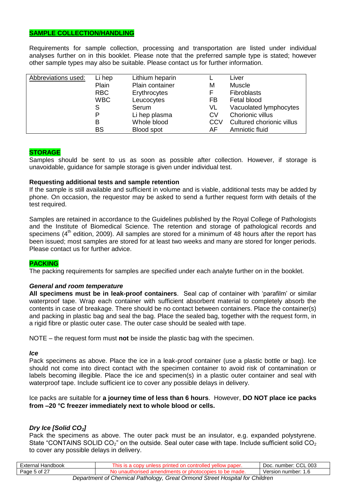#### **SAMPLE COLLECTION/HANDLING**

Requirements for sample collection, processing and transportation are listed under individual analyses further on in this booklet. Please note that the preferred sample type is stated; however other sample types may also be suitable. Please contact us for further information.

| Abbreviations used: | Li hep     | Lithium heparin |           | Liver                     |
|---------------------|------------|-----------------|-----------|---------------------------|
|                     | Plain      | Plain container | М         | <b>Muscle</b>             |
|                     | <b>RBC</b> | Erythrocytes    |           | <b>Fibroblasts</b>        |
|                     | <b>WBC</b> | Leucocytes      | FB        | Fetal blood               |
|                     | S          | Serum           | VL        | Vacuolated lymphocytes    |
|                     | P          | Li hep plasma   | <b>CV</b> | Chorionic villus          |
|                     | В          | Whole blood     | CCV       | Cultured chorionic villus |
|                     | <b>BS</b>  | Blood spot      | AF        | Amniotic fluid            |

#### **STORAGE**

Samples should be sent to us as soon as possible after collection. However, if storage is unavoidable, guidance for sample storage is given under individual test.

#### **Requesting additional tests and sample retention**

If the sample is still available and sufficient in volume and is viable, additional tests may be added by phone. On occasion, the requestor may be asked to send a further request form with details of the test required.

Samples are retained in accordance to the Guidelines published by the Royal College of Pathologists and the Institute of Biomedical Science. The retention and storage of pathological records and specimens ( $4<sup>th</sup>$  edition, 2009). All samples are stored for a minimum of 48 hours after the report has been issued; most samples are stored for at least two weeks and many are stored for longer periods. Please contact us for further advice.

#### **PACKING**

The packing requirements for samples are specified under each analyte further on in the booklet.

#### *General and room temperature*

**All specimens must be in leak-proof containers**. Seal cap of container with 'parafilm' or similar waterproof tape. Wrap each container with sufficient absorbent material to completely absorb the contents in case of breakage. There should be no contact between containers. Place the container(s) and packing in plastic bag and seal the bag. Place the sealed bag, together with the request form, in a rigid fibre or plastic outer case. The outer case should be sealed with tape.

NOTE – the request form must **not** be inside the plastic bag with the specimen.

#### *Ice*

Pack specimens as above. Place the ice in a leak-proof container (use a plastic bottle or bag). Ice should not come into direct contact with the specimen container to avoid risk of contamination or labels becoming illegible. Place the ice and specimen(s) in a plastic outer container and seal with waterproof tape. Include sufficient ice to cover any possible delays in delivery.

Ice packs are suitable for **a journey time of less than 6 hours**. However, **DO NOT place ice packs from –20 °C freezer immediately next to whole blood or cells.**

#### *Dry Ice [Solid CO2]*

Pack the specimens as above. The outer pack must be an insulator, e.g. expanded polystyrene. State "CONTAINS SOLID  $CO_2$ " on the outside. Seal outer case with tape. Include sufficient solid  $CO_2$ to cover any possible delays in delivery.

| Handbook<br>External         | ™ naper. ⊦<br>$\overline{\phantom{0}}$ | $\sim$<br>.003<br>Doc<br>number<br>انات |
|------------------------------|----------------------------------------|-----------------------------------------|
| . റ of <sup>27</sup><br>Page | .NG<br>uaue.                           | number:<br>/ersion<br>ں. ا              |
|                              |                                        |                                         |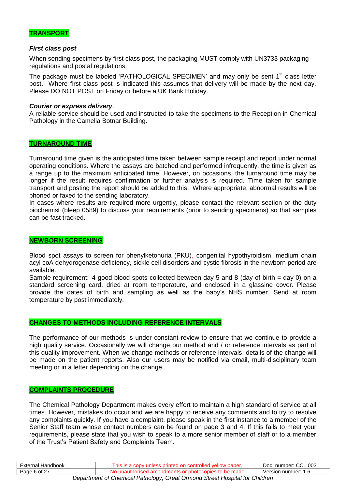

#### *First class post*

When sending specimens by first class post, the packaging MUST comply with UN3733 packaging regulations and postal regulations.

The package must be labeled 'PATHOLOGICAL SPECIMEN' and may only be sent 1<sup>st</sup> class letter post. Where first class post is indicated this assumes that delivery will be made by the next day. Please DO NOT POST on Friday or before a UK Bank Holiday.

#### *Courier or express delivery*.

A reliable service should be used and instructed to take the specimens to the Reception in Chemical Pathology in the Camelia Botnar Building.

#### **TURNAROUND TIME**

Turnaround time given is the anticipated time taken between sample receipt and report under normal operating conditions. Where the assays are batched and performed infrequently, the time is given as a range up to the maximum anticipated time. However, on occasions, the turnaround time may be longer if the result requires confirmation or further analysis is required. Time taken for sample transport and posting the report should be added to this. Where appropriate, abnormal results will be phoned or faxed to the sending laboratory.

In cases where results are required more urgently, please contact the relevant section or the duty biochemist (bleep 0589) to discuss your requirements (prior to sending specimens) so that samples can be fast tracked.

#### **NEWBORN SCREENING**

Blood spot assays to screen for phenylketonuria (PKU), congenital hypothyroidism, medium chain acyl coA dehydrogenase deficiency, sickle cell disorders and cystic fibrosis in the newborn period are available.

Sample requirement: 4 good blood spots collected between day 5 and 8 (day of birth = day 0) on a standard screening card, dried at room temperature, and enclosed in a glassine cover. Please provide the dates of birth and sampling as well as the baby's NHS number. Send at room temperature by post immediately.

#### **CHANGES TO METHODS INCLUDING REFERENCE INTERVALS**

The performance of our methods is under constant review to ensure that we continue to provide a high quality service. Occasionally we will change our method and / or reference intervals as part of this quality improvement. When we change methods or reference intervals, details of the change will be made on the patient reports. Also our users may be notified via email, multi-disciplinary team meeting or in a letter depending on the change.

#### **COMPLAINTS PROCEDURE**

The Chemical Pathology Department makes every effort to maintain a high standard of service at all times. However, mistakes do occur and we are happy to receive any comments and to try to resolve any complaints quickly. If you have a complaint, please speak in the first instance to a member of the Senior Staff team whose contact numbers can be found on page 3 and 4. If this fails to meet your requirements, please state that you wish to speak to a more senior member of staff or to a member of the Trust's Patient Safety and Complaints Team.

| Handbook<br>— vtarnal "<br>наг                                                    | <b>his</b><br>' paper.<br>٦T۴<br>on | <b>^^'</b><br>003<br>number:<br>DOC.<br>VUL. |
|-----------------------------------------------------------------------------------|-------------------------------------|----------------------------------------------|
| $\circ$ of $2^{-}$<br>Page                                                        | made.<br>me<br>.<br>--              | √ersion<br>number:<br>ں. ا                   |
| Conculuscut of Chamical Dathology (<br>seart Ownand Cheapt Llaonital fax Obildron |                                     |                                              |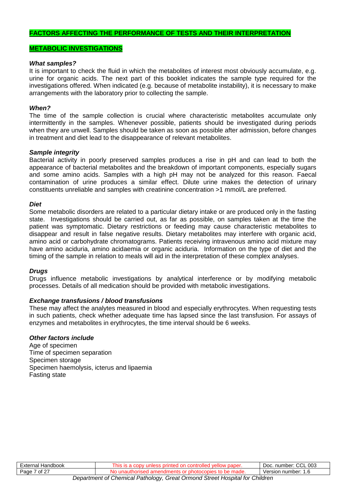#### **FACTORS AFFECTING THE PERFORMANCE OF TESTS AND THEIR INTERPRETATION**

#### **METABOLIC INVESTIGATIONS**

#### *What samples?*

It is important to check the fluid in which the metabolites of interest most obviously accumulate, e.g. urine for organic acids. The next part of this booklet indicates the sample type required for the investigations offered. When indicated (e.g. because of metabolite instability), it is necessary to make arrangements with the laboratory prior to collecting the sample.

#### *When?*

The time of the sample collection is crucial where characteristic metabolites accumulate only intermittently in the samples. Whenever possible, patients should be investigated during periods when they are unwell. Samples should be taken as soon as possible after admission, before changes in treatment and diet lead to the disappearance of relevant metabolites.

#### *Sample integrity*

Bacterial activity in poorly preserved samples produces a rise in pH and can lead to both the appearance of bacterial metabolites and the breakdown of important components, especially sugars and some amino acids. Samples with a high pH may not be analyzed for this reason. Faecal contamination of urine produces a similar effect. Dilute urine makes the detection of urinary constituents unreliable and samples with creatinine concentration >1 mmol/L are preferred.

#### *Diet*

Some metabolic disorders are related to a particular dietary intake or are produced only in the fasting state. Investigations should be carried out, as far as possible, on samples taken at the time the patient was symptomatic. Dietary restrictions or feeding may cause characteristic metabolites to disappear and result in false negative results. Dietary metabolites may interfere with organic acid, amino acid or carbohydrate chromatograms. Patients receiving intravenous amino acid mixture may have amino aciduria, amino acidaemia or organic aciduria. Information on the type of diet and the timing of the sample in relation to meals will aid in the interpretation of these complex analyses.

#### *Drugs*

Drugs influence metabolic investigations by analytical interference or by modifying metabolic processes. Details of all medication should be provided with metabolic investigations.

#### *Exchange transfusions / blood transfusions*

These may affect the analytes measured in blood and especially erythrocytes. When requesting tests in such patients, check whether adequate time has lapsed since the last transfusion. For assays of enzymes and metabolites in erythrocytes, the time interval should be 6 weeks.

#### *Other factors include*

Age of specimen Time of specimen separation Specimen storage Specimen haemolysis, icterus and lipaemia Fasting state

| <br>Handbook<br>∟xterne"               | w<br>-ms<br>DADU.                                                              | $\sim$<br>003<br>$\sim$<br>number.<br>DOC.<br>UUL |
|----------------------------------------|--------------------------------------------------------------------------------|---------------------------------------------------|
| $\cdot$ of $2^{-}$<br>Page<br><u>_</u> | NI<br>≅maαe.<br>٦A<br>аг                                                       | number:<br>rsıor<br>ver<br>ں. ا                   |
| The company's con-                     | ______<br>____<br>___<br>the company's con-<br>the contract of the contract of |                                                   |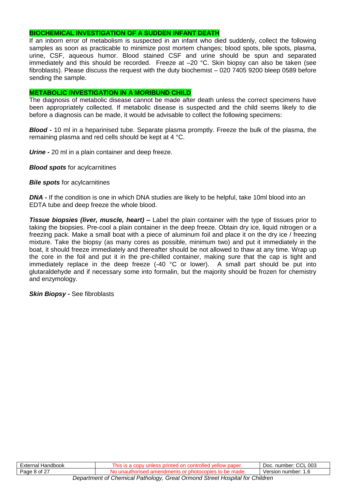#### **BIOCHEMICAL INVESTIGATION OF A SUDDEN INFANT DEATH**

If an inborn error of metabolism is suspected in an infant who died suddenly, collect the following samples as soon as practicable to minimize post mortem changes; blood spots, bile spots, plasma, urine, CSF, aqueous humor. Blood stained CSF and urine should be spun and separated immediately and this should be recorded. Freeze at –20 °C. Skin biopsy can also be taken (see fibroblasts). Please discuss the request with the duty biochemist – 020 7405 9200 bleep 0589 before sending the sample.

#### **METABOLIC INVESTIGATION IN A MORIBUND CHILD**

The diagnosis of metabolic disease cannot be made after death unless the correct specimens have been appropriately collected. If metabolic disease is suspected and the child seems likely to die before a diagnosis can be made, it would be advisable to collect the following specimens:

*Blood -* 10 ml in a heparinised tube. Separate plasma promptly. Freeze the bulk of the plasma, the remaining plasma and red cells should be kept at 4 °C.

*Urine -* 20 ml in a plain container and deep freeze.

*Blood spots* for acylcarnitines

*Bile spots* for acylcarnitines

*DNA -* If the condition is one in which DNA studies are likely to be helpful, take 10ml blood into an EDTA tube and deep freeze the whole blood.

*Tissue biopsies (liver, muscle, heart) –* Label the plain container with the type of tissues prior to taking the biopsies. Pre-cool a plain container in the deep freeze. Obtain dry ice, liquid nitrogen or a freezing pack. Make a small boat with a piece of aluminum foil and place it on the dry ice / freezing mixture. Take the biopsy (as many cores as possible, minimum two) and put it immediately in the boat, it should freeze immediately and thereafter should be not allowed to thaw at any time. Wrap up the core in the foil and put it in the pre-chilled container, making sure that the cap is tight and immediately replace in the deep freeze  $(-40 °C)$  or lower). A small part should be put into glutaraldehyde and if necessary some into formalin, but the majority should be frozen for chemistry and enzymology.

*Skin Biopsy -* See fibroblasts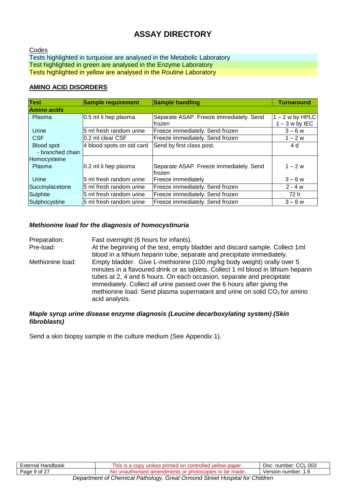### **ASSAY DIRECTORY**

Codes Tests highlighted in turquoise are analysed in the Metabolic Laboratory Test highlighted in green are analysed in the Enzyme Laboratory Tests highlighted in yellow are analysed in the Routine Laboratory

#### **AMINO ACID DISORDERS**

| <b>Test</b>                           | <b>Sample requirement</b> | <b>Sample handling</b>                             | <b>Turnaround</b>                  |
|---------------------------------------|---------------------------|----------------------------------------------------|------------------------------------|
| <b>Amino acids</b>                    |                           |                                                    |                                    |
| Plasma                                | 0.5 ml li hep plasma      | Separate ASAP. Freeze immediately. Send<br>frozen  | $-2$ w by HPLC<br>$1 - 3$ w by IEC |
| Urine                                 | 5 ml fresh random urine   | Freeze immediately. Send frozen                    | $3 - 6 w$                          |
| <b>CSF</b>                            | 0.2 ml clear CSF          | Freeze immediately. Send frozen                    | $1 - 2 w$                          |
| <b>Blood spot</b><br>- branched chain | 4 blood spots on std card | Send by first class post.                          | 4 d                                |
| Homocysteine<br>Plasma                | 0.2 ml li hep plasma      | Separate ASAP. Freeze immediately. Send<br>lfrozen | $1 - 2w$                           |
| Urine                                 | 5 ml fresh random urine   | Freeze immediately                                 | $3 - 6 w$                          |
| Succinylacetone                       | 5 ml fresh random urine   | Freeze immediately. Send frozen                    | $2 - 4 w$                          |
| Sulphite                              | 5 ml fresh random urine   | Freeze immediately. Send frozen                    | 72 h                               |
| Sulphocystine                         | 5 ml fresh random urine   | Freeze immediately. Send frozen                    | $3 - 6 w$                          |

#### *Methionine load for the diagnosis of homocystinuria*

| Preparation:     | Fast overnight (6 hours for infants).                                                                                                                                                                                                                                                                                                                                                                            |
|------------------|------------------------------------------------------------------------------------------------------------------------------------------------------------------------------------------------------------------------------------------------------------------------------------------------------------------------------------------------------------------------------------------------------------------|
| Pre-load:        | At the beginning of the test, empty bladder and discard sample. Collect 1ml<br>blood in a lithium heparin tube, separate and precipitate immediately.                                                                                                                                                                                                                                                            |
| Methionine load: | Empty bladder. Give L-methionine (100 mg/kg body weight) orally over 5<br>minutes in a flavoured drink or as tablets. Collect 1 ml blood in lithium heparin<br>tubes at 2, 4 and 6 hours. On each occasion, separate and precipitate<br>immediately. Collect all urine passed over the 6 hours after giving the<br>methionine load. Send plasma supernatant and urine on solid $CO2$ for amino<br>acid analysis. |

#### *Maple syrup urine disease enzyme diagnosis (Leucine decarboxylating system) (Skin fibroblasts)*

Send a skin biopsy sample in the culture medium (See Appendix 1).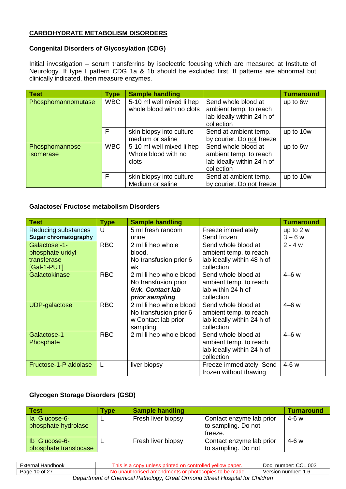#### **CARBOHYDRATE METABOLISM DISORDERS**

#### **Congenital Disorders of Glycosylation (CDG)**

Initial investigation – serum transferrins by isoelectric focusing which are measured at Institute of Neurology. If type I pattern CDG 1a & 1b should be excluded first. If patterns are abnormal but clinically indicated, then measure enzymes.

| <b>Test</b>        | <b>Type</b> | <b>Sample handling</b>    |                                                      | <b>Turnaround</b> |
|--------------------|-------------|---------------------------|------------------------------------------------------|-------------------|
| Phosphomannomutase | <b>WBC</b>  | 5-10 ml well mixed li hep | Send whole blood at                                  | up to 6w          |
|                    |             | whole blood with no clots | ambient temp. to reach<br>lab ideally within 24 h of |                   |
|                    |             |                           | collection                                           |                   |
|                    | F           | skin biopsy into culture  | Send at ambient temp.                                | up to 10w         |
|                    |             | medium or saline          | by courier. Do not freeze                            |                   |
| Phosphomannose     | <b>WBC</b>  | 5-10 ml well mixed li hep | Send whole blood at                                  | up to 6w          |
| isomerase          |             | Whole blood with no       | ambient temp. to reach                               |                   |
|                    |             | clots                     | lab ideally within 24 h of                           |                   |
|                    |             |                           | collection                                           |                   |
|                    | F           | skin biopsy into culture  | Send at ambient temp.                                | up to 10w         |
|                    |             | Medium or saline          | by courier. Do not freeze                            |                   |

#### **Galactose/ Fructose metabolism Disorders**

| <b>Test</b>                 | <b>Type</b> | <b>Sample handling</b>  |                            | <b>Turnaround</b> |
|-----------------------------|-------------|-------------------------|----------------------------|-------------------|
| Reducing substances         | U           | 5 ml fresh random       | Freeze immediately.        | up to 2 w         |
| <b>Sugar chromatography</b> |             | urine                   | Send frozen                | $3 - 6 w$         |
| Galactose -1-               | <b>RBC</b>  | 2 ml li hep whole       | Send whole blood at        | $2 - 4 w$         |
| phosphate uridyl-           |             | blood.                  | ambient temp. to reach     |                   |
| transferase                 |             | No transfusion prior 6  | lab ideally within 48 h of |                   |
| $[Gal-1-PUT]$               |             | wk                      | collection                 |                   |
| Galactokinase               | <b>RBC</b>  | 2 ml li hep whole blood | Send whole blood at        | $4-6w$            |
|                             |             | No transfusion prior    | ambient temp. to reach     |                   |
|                             |             | 6wk. Contact lab        | lab within 24 h of         |                   |
|                             |             | prior sampling          | collection                 |                   |
| <b>UDP-galactose</b>        | <b>RBC</b>  | 2 ml li hep whole blood | Send whole blood at        | $4-6w$            |
|                             |             | No transfusion prior 6  | ambient temp. to reach     |                   |
|                             |             | w Contact lab prior     | lab ideally within 24 h of |                   |
|                             |             | sampling                | collection                 |                   |
| Galactose-1                 | <b>RBC</b>  | 2 ml li hep whole blood | Send whole blood at        | $4-6w$            |
| Phosphate                   |             |                         | ambient temp. to reach     |                   |
|                             |             |                         | lab ideally within 24 h of |                   |
|                             |             |                         | collection                 |                   |
| Fructose-1-P aldolase       | L           | liver biopsy            | Freeze immediately. Send   | $4-6w$            |
|                             |             |                         | frozen without thawing     |                   |

#### **Glycogen Storage Disorders (GSD)**

| <b>Test</b>           | Type | <b>Sample handling</b> |                          | <b>Turnaround</b> |
|-----------------------|------|------------------------|--------------------------|-------------------|
| la Glucose-6-         |      | Fresh liver biopsy     | Contact enzyme lab prior | $4-6 w$           |
| phosphate hydrolase   |      |                        | to sampling. Do not      |                   |
|                       |      |                        | freeze.                  |                   |
| Ib Glucose-6-         |      | Fresh liver biopsy     | Contact enzyme lab prior | $4-6 w$           |
| phosphate translocase |      |                        | to sampling. Do not      |                   |

| External Handbook                                                           | This is a copy unless printed on controlled yellow paper. | Doc. number: CCL 003 |  |  |
|-----------------------------------------------------------------------------|-----------------------------------------------------------|----------------------|--|--|
| Page 10 of 27                                                               | No unauthorised amendments or photocopies to be made.     | Version number: 1.6  |  |  |
| Department of Chemical Pathology, Great Ormond Street Hospital for Children |                                                           |                      |  |  |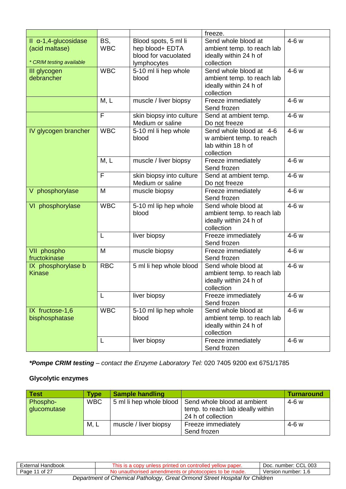|                                                                              |                   |                                                                                | freeze.                                                                                   |        |
|------------------------------------------------------------------------------|-------------------|--------------------------------------------------------------------------------|-------------------------------------------------------------------------------------------|--------|
| $II$ $\alpha$ -1,4-glucosidase<br>(acid maltase)<br>* CRIM testing available | BS,<br><b>WBC</b> | Blood spots, 5 ml li<br>hep blood+ EDTA<br>blood for vacuolated<br>lymphocytes | Send whole blood at<br>ambient temp. to reach lab<br>ideally within 24 h of<br>collection | $4-6w$ |
| III glycogen<br>debrancher                                                   | <b>WBC</b>        | 5-10 ml li hep whole<br>blood                                                  | Send whole blood at<br>ambient temp. to reach lab<br>ideally within 24 h of<br>collection | 4-6 w  |
|                                                                              | M, L              | muscle / liver biopsy                                                          | Freeze immediately<br>Send frozen                                                         | $4-6w$ |
|                                                                              | F                 | skin biopsy into culture<br>Medium or saline                                   | Send at ambient temp.<br>Do not freeze                                                    | 4-6 w  |
| IV glycogen brancher                                                         | <b>WBC</b>        | 5-10 ml li hep whole<br>blood                                                  | Send whole blood at 4-6<br>w ambient temp. to reach<br>lab within 18 h of<br>collection   | 4-6 w  |
|                                                                              | M, L              | muscle / liver biopsy                                                          | Freeze immediately<br>Send frozen                                                         | 4-6 w  |
|                                                                              | F                 | skin biopsy into culture<br>Medium or saline                                   | Send at ambient temp.<br>Do not freeze                                                    | 4-6 w  |
| V phosphorylase                                                              | M                 | muscle biopsy                                                                  | Freeze immediately<br>Send frozen                                                         | $4-6w$ |
| VI phosphorylase                                                             | <b>WBC</b>        | 5-10 ml lip hep whole<br>blood                                                 | Send whole blood at<br>ambient temp. to reach lab<br>ideally within 24 h of<br>collection | 4-6 w  |
|                                                                              | L                 | liver biopsy                                                                   | Freeze immediately<br>Send frozen                                                         | $4-6w$ |
| VII phospho<br>fructokinase                                                  | M                 | muscle biopsy                                                                  | Freeze immediately<br>Send frozen                                                         | 4-6 w  |
| IX phosphorylase b<br><b>Kinase</b>                                          | <b>RBC</b>        | 5 ml li hep whole blood                                                        | Send whole blood at<br>ambient temp. to reach lab<br>ideally within 24 h of<br>collection | 4-6 w  |
|                                                                              | L                 | liver biopsy                                                                   | Freeze immediately<br>Send frozen                                                         | 4-6 w  |
| IX fructose-1,6<br>bisphosphatase                                            | <b>WBC</b>        | 5-10 ml lip hep whole<br>blood                                                 | Send whole blood at<br>ambient temp. to reach lab<br>ideally within 24 h of<br>collection | 4-6 w  |
|                                                                              | L                 | liver biopsy                                                                   | Freeze immediately<br>Send frozen                                                         | 4-6 w  |

*\*Pompe CRIM testing – contact the Enzyme Laboratory Tel:* 020 7405 9200 ext 6751/1785

#### **Glycolytic enzymes**

| <b>Test</b> | Type       | <b>Sample handling</b> |                                                       | <b>Turnaround</b> |
|-------------|------------|------------------------|-------------------------------------------------------|-------------------|
| Phospho-    | <b>WBC</b> |                        | 5 ml li hep whole blood   Send whole blood at ambient | $4-6 w$           |
| glucomutase |            |                        | temp. to reach lab ideally within                     |                   |
|             |            |                        | 24 h of collection                                    |                   |
|             | M, L       | muscle / liver biopsy  | Freeze immediately                                    | $4-6 w$           |
|             |            |                        | Send frozen                                           |                   |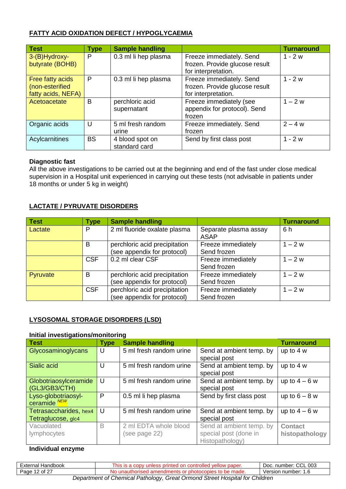#### **FATTY ACID OXIDATION DEFECT / HYPOGLYCAEMIA**

| <b>Test</b>        | <b>Type</b> | <b>Sample handling</b> |                                | <b>Turnaround</b> |
|--------------------|-------------|------------------------|--------------------------------|-------------------|
| 3-(B)Hydroxy-      | P           | 0.3 ml li hep plasma   | Freeze immediately. Send       | $1 - 2w$          |
| butyrate (BOHB)    |             |                        | frozen. Provide glucose result |                   |
|                    |             |                        | for interpretation.            |                   |
| Free fatty acids   | P           | 0.3 ml li hep plasma   | Freeze immediately. Send       | $1 - 2w$          |
| (non-esterified    |             |                        | frozen. Provide glucose result |                   |
| fatty acids, NEFA) |             |                        | for interpretation.            |                   |
| Acetoacetate       | B           | perchloric acid        | Freeze immediately (see        | $1 - 2 w$         |
|                    |             | supernatant            | appendix for protocol). Send   |                   |
|                    |             |                        | frozen                         |                   |
| Organic acids      | U           | 5 ml fresh random      | Freeze immediately. Send       | $2 - 4 w$         |
|                    |             | urine                  | frozen                         |                   |
| Acylcarnitines     | <b>BS</b>   | 4 blood spot on        | Send by first class post       | $1 - 2w$          |
|                    |             | standard card          |                                |                   |

#### **Diagnostic fast**

All the above investigations to be carried out at the beginning and end of the fast under close medical supervision in a Hospital unit experienced in carrying out these tests (not advisable in patients under 18 months or under 5 kg in weight)

#### **LACTATE / PYRUVATE DISORDERS**

| <b>Test</b> | Type       | <b>Sample handling</b>        |                       | <b>Turnaround</b> |
|-------------|------------|-------------------------------|-----------------------|-------------------|
| Lactate     | P          | 2 ml fluoride oxalate plasma  | Separate plasma assay | 6 h               |
|             |            |                               | <b>ASAP</b>           |                   |
|             | B          | perchloric acid precipitation | Freeze immediately    | $1 - 2 w$         |
|             |            | (see appendix for protocol)   | Send frozen           |                   |
|             | <b>CSF</b> | 0.2 ml clear CSF              | Freeze immediately    | $1 - 2 w$         |
|             |            |                               | Send frozen           |                   |
| Pyruvate    | в          | perchloric acid precipitation | Freeze immediately    | $1 - 2 w$         |
|             |            | (see appendix for protocol)   | Send frozen           |                   |
|             | <b>CSF</b> | perchloric acid precipitation | Freeze immediately    | $1 - 2 w$         |
|             |            | (see appendix for protocol)   | Send frozen           |                   |

#### **LYSOSOMAL STORAGE DISORDERS (LSD)**

#### **Initial investigations/monitoring**

| <b>Test</b>             | <b>Type</b> | <b>Sample handling</b>  |                          | <b>Turnaround</b> |
|-------------------------|-------------|-------------------------|--------------------------|-------------------|
| Glycosaminoglycans      | U           | 5 ml fresh random urine | Send at ambient temp. by | up to 4 w         |
|                         |             |                         | special post             |                   |
| Sialic acid             | U           | 5 ml fresh random urine | Send at ambient temp. by | up to $4 w$       |
|                         |             |                         | special post             |                   |
| Globotriaosylceramide   | U           | 5 ml fresh random urine | Send at ambient temp. by | up to $4-6 w$     |
| (GL3/GB3/CTH)           |             |                         | special post             |                   |
| Lyso-globotriaosyl-     | P           | 0.5 ml li hep plasma    | Send by first class post | up to $6 - 8$ w   |
| ceramide <sup>NEW</sup> |             |                         |                          |                   |
| Tetrasaccharides, hex4  | U           | 5 ml fresh random urine | Send at ambient temp. by | up to $4-6 w$     |
| Tetraglucose, glc4      |             |                         | special post             |                   |
| Vacuolated              | B           | 2 ml EDTA whole blood   | Send at ambient temp. by | <b>Contact</b>    |
| lymphocytes             |             | (see page 22)           | special post (done in    | histopathology    |
|                         |             |                         | Histopathology)          |                   |

#### **Individual enzyme**

| External Handbook                                                           | This is a copy unless printed on controlled yellow paper. | Doc. number: CCL 003 |  |  |
|-----------------------------------------------------------------------------|-----------------------------------------------------------|----------------------|--|--|
| Page 12 of 27                                                               | No unauthorised amendments or photocopies to be made.     | Version number: 1.6  |  |  |
| Department of Chemical Pathology, Great Ormond Street Hospital for Children |                                                           |                      |  |  |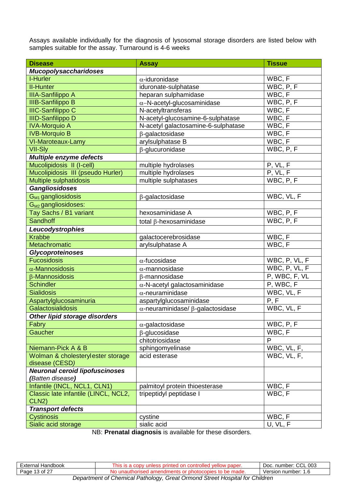Assays available individually for the diagnosis of lysosomal storage disorders are listed below with samples suitable for the assay. Turnaround is 4-6 weeks

| <b>Disease</b>                                       | <b>Assay</b>                                    | <b>Tissue</b>    |
|------------------------------------------------------|-------------------------------------------------|------------------|
| <b>Mucopolysaccharidoses</b>                         |                                                 |                  |
| I-Hurler                                             | $\alpha$ -iduronidase                           | WBC, F           |
| <b>II-Hunter</b>                                     | iduronate-sulphatase                            | WBC, P, F        |
| <b>IIIA-Sanfilippo A</b>                             | heparan sulphamidase                            | WBC, F           |
| <b>IIIB-Sanfilippo B</b>                             | $\alpha$ -N-acetyl-glucosaminidase              | WBC, P, F        |
| <b>IIIC-Sanfilippo C</b>                             | N-acetyltransferas                              | WBC, F           |
| <b>IIID-Sanfilippo D</b>                             | N-acetyl-glucosamine-6-sulphatase               | WBC, F           |
| <b>IVA-Morquio A</b>                                 | N-acetyl galactosamine-6-sulphatase             | WBC, F           |
| <b>IVB-Morquio B</b>                                 | $\beta$ -galactosidase                          | WBC, F           |
| VI-Maroteaux-Lamy                                    | arylsulphatase B                                | WBC, F           |
| <b>VII-Sly</b>                                       | $\beta$ -glucuronidase                          | WBC, P, F        |
| Multiple enzyme defects                              |                                                 |                  |
| Mucolipidosis II (I-cell)                            | multiple hydrolases                             | P, VL, F         |
| Mucolipidosis III (pseudo Hurler)                    | multiple hydrolases                             | P, VL, F         |
| Multiple sulphatidosis                               | multiple sulphatases                            | WBC, P, F        |
| <b>Gangliosidoses</b>                                |                                                 |                  |
| G <sub>M1</sub> gangliosidosis                       | $\beta$ -galactosidase                          | WBC, VL, F       |
| $G_{M2}$ gangliosidoses:                             |                                                 |                  |
| Tay Sachs / B1 variant                               | hexosaminidase A                                | WBC, P, F        |
| <b>Sandhoff</b>                                      | total $\beta$ -hexosaminidase                   | WBC, P, F        |
| Leucodystrophies                                     |                                                 |                  |
| <b>Krabbe</b>                                        | galactocerebrosidase                            | WBC, F           |
| <b>Metachromatic</b>                                 | arylsulphatase A                                | WBC, F           |
| <b>Glycoproteinoses</b>                              |                                                 |                  |
| <b>Fucosidosis</b>                                   | $\alpha$ -fucosidase                            | WBC, P, VL, F    |
| $\alpha$ -Mannosidosis                               | $\alpha$ -mannosidase                           | WBC, P, VL, F    |
| $\beta$ -Mannosidosis                                | $\beta$ -mannosidase                            | P, WBC, F, VL    |
| <b>Schindler</b>                                     | $\alpha$ -N-acetyl galactosaminidase            | P, WBC, F        |
| <b>Sialidosis</b>                                    | $\alpha$ -neuraminidase                         | WBC, VL, F       |
| Aspartylglucosaminuria                               | aspartylglucosaminidase                         | P, F             |
| Galactosialidosis                                    | $\alpha$ -neuraminidase/ $\beta$ -galactosidase | WBC, VL, F       |
| Other lipid storage disorders                        |                                                 |                  |
| Fabry                                                | $\alpha$ -galactosidase                         | WBC, P, F        |
| Gaucher                                              | $\beta$ -glucosidase                            | WBC, F           |
|                                                      | chitotriosidase                                 | P                |
| Niemann-Pick A & B                                   | sphingomyelinase                                | WBC, VL, F,      |
| Wolman & cholesterylester storage                    | acid esterase                                   | WBC, VL, F,      |
| disease (CESD)                                       |                                                 |                  |
| <b>Neuronal ceroid lipofuscinoses</b>                |                                                 |                  |
| (Batten disease)                                     |                                                 |                  |
| Infantile (INCL, NCL1, CLN1)                         | palmitoyl protein thioesterase                  | WBC, F<br>WBC, F |
| Classic late infantile (LINCL, NCL2,<br><b>CLN2)</b> | tripeptidyl peptidase I                         |                  |
| <b>Transport defects</b>                             |                                                 |                  |
| <b>Cystinosis</b>                                    | cystine                                         | WBC, F           |
| Sialic acid storage                                  | sialic acid                                     | U, VL, F         |
|                                                      |                                                 |                  |

NB: **Prenatal diagnosis** is available for these disorders.

| Handbook<br>⊨xternal                                                        | paper.<br>шr<br>эn<br>не<br>' ⊔⊷. | $\sim$<br>003<br>number:<br>DOC.<br>◡◡∟ |
|-----------------------------------------------------------------------------|-----------------------------------|-----------------------------------------|
| $1.3$ of $2^-$<br>Page                                                      | nade.<br>١I۴                      | Version number:<br>ı.c                  |
| Consetment of Chemical Pathology, Creat Ormand Streat Hospital for Children |                                   |                                         |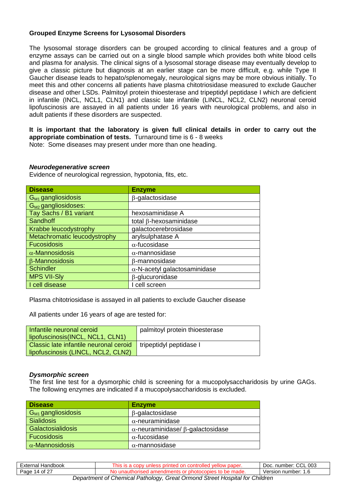#### **Grouped Enzyme Screens for Lysosomal Disorders**

The lysosomal storage disorders can be grouped according to clinical features and a group of enzyme assays can be carried out on a single blood sample which provides both white blood cells and plasma for analysis. The clinical signs of a lysosomal storage disease may eventually develop to give a classic picture but diagnosis at an earlier stage can be more difficult, e.g. while Type II Gaucher disease leads to hepato/splenomegaly, neurological signs may be more obvious initially. To meet this and other concerns all patients have plasma chitotriosidase measured to exclude Gaucher disease and other LSDs. Palmitoyl protein thioesterase and tripeptidyl peptidase I which are deficient in infantile (INCL, NCL1, CLN1) and classic late infantile (LINCL, NCL2, CLN2) neuronal ceroid lipofuscinosis are assayed in all patients under 16 years with neurological problems, and also in adult patients if these disorders are suspected.

**It is important that the laboratory is given full clinical details in order to carry out the appropriate combination of tests.** Turnaround time is 6 - 8 weeks

Note: Some diseases may present under more than one heading.

#### *Neurodegenerative screen*

Evidence of neurological regression, hypotonia, fits, etc.

| <b>Disease</b>               | <b>Enzyme</b>                        |
|------------------------------|--------------------------------------|
| $G_{M1}$ gangliosidosis      | $\beta$ -galactosidase               |
| $G_{M2}$ gangliosidoses:     |                                      |
| Tay Sachs / B1 variant       | hexosaminidase A                     |
| Sandhoff                     | total $\beta$ -hexosaminidase        |
| Krabbe leucodystrophy        | galactocerebrosidase                 |
| Metachromatic leucodystrophy | arylsulphatase A                     |
| <b>Fucosidosis</b>           | $\alpha$ -fucosidase                 |
| $\alpha$ -Mannosidosis       | $\alpha$ -mannosidase                |
| <b>B-Mannosidosis</b>        | $\beta$ -mannosidase                 |
| <b>Schindler</b>             | $\alpha$ -N-acetyl galactosaminidase |
| <b>MPS VII-Sly</b>           | $\beta$ -glucuronidase               |
| I cell disease               | I cell screen                        |

Plasma chitotriosidase is assayed in all patients to exclude Gaucher disease

All patients under 16 years of age are tested for:

| Infantile neuronal ceroid<br>lipofuscinosis(INCL, NCL1, CLN1)                | palmitoyl protein thioesterase |
|------------------------------------------------------------------------------|--------------------------------|
| Classic late infantile neuronal ceroid<br>lipofuscinosis (LINCL, NCL2, CLN2) | tripeptidyl peptidase I        |

#### *Dysmorphic screen*

The first line test for a dysmorphic child is screening for a mucopolysaccharidosis by urine GAGs. The following enzymes are indicated if a mucopolysaccharidosis is excluded.

| <b>Disease</b>           | <b>Enzyme</b>                                   |
|--------------------------|-------------------------------------------------|
| $G_{M1}$ gangliosidosis  | $\beta$ -galactosidase                          |
| <b>Sialidosis</b>        | $\alpha$ -neuraminidase                         |
| <b>Galactosialidosis</b> | $\alpha$ -neuraminidase/ $\beta$ -galactosidase |
| <b>Fucosidosis</b>       | $\alpha$ -fucosidase                            |
| $\alpha$ -Mannosidosis   | $\alpha$ -mannosidase                           |

| External Handbook                                                           | This is a copy unless printed on controlled yellow paper. | Doc. number: CCL 003 |
|-----------------------------------------------------------------------------|-----------------------------------------------------------|----------------------|
| Page 14 of 27                                                               | No unauthorised amendments or photocopies to be made.     | Version number: 1.6  |
| Department of Chemical Pathology, Great Ormond Street Hospital for Children |                                                           |                      |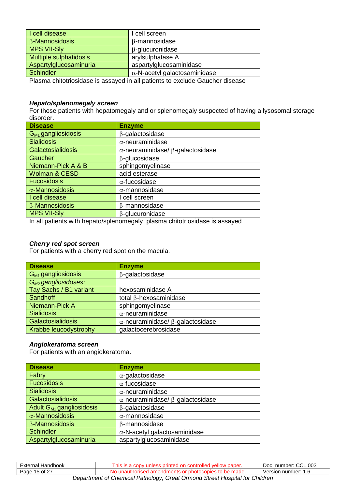| I cell disease                                                               | I cell screen                        |  |
|------------------------------------------------------------------------------|--------------------------------------|--|
| $\beta$ -Mannosidosis                                                        | $\beta$ -mannosidase                 |  |
| <b>MPS VII-SIy</b>                                                           | $\beta$ -glucuronidase               |  |
| <b>Multiple sulphatidosis</b>                                                | arylsulphatase A                     |  |
| Aspartylglucosaminuria                                                       | aspartylglucosaminidase              |  |
| <b>Schindler</b>                                                             | $\alpha$ -N-acetyl galactosaminidase |  |
| Dlaama abitatriooidaas ja sesevad jn all potienta te evalude Cousher disesse |                                      |  |

Plasma chitotriosidase is assayed in all patients to exclude Gaucher disease

#### *Hepato/splenomegaly screen*

For those patients with hepatomegaly and or splenomegaly suspected of having a lysosomal storage disorder.

| <b>Disease</b>           | <b>Enzyme</b>                                   |
|--------------------------|-------------------------------------------------|
| $G_{M1}$ gangliosidosis  | $\beta$ -galactosidase                          |
| <b>Sialidosis</b>        | $\alpha$ -neuraminidase                         |
| <b>Galactosialidosis</b> | $\alpha$ -neuraminidase/ $\beta$ -galactosidase |
| Gaucher                  | $\beta$ -glucosidase                            |
| Niemann-Pick A & B       | sphingomyelinase                                |
| <b>Wolman &amp; CESD</b> | acid esterase                                   |
| <b>Fucosidosis</b>       | $\alpha$ -fucosidase                            |
| $\alpha$ -Mannosidosis   | $\alpha$ -mannosidase                           |
| I cell disease           | I cell screen                                   |
| $\beta$ -Mannosidosis    | β-mannosidase                                   |
| <b>MPS VII-SIV</b>       | β-glucuronidase                                 |

In all patients with hepato/splenomegaly plasma chitotriosidase is assayed

#### *Cherry red spot screen*

For patients with a cherry red spot on the macula.

| <b>Disease</b>           | <b>Enzyme</b>                                   |
|--------------------------|-------------------------------------------------|
| $G_{M1}$ gangliosidosis  | $\beta$ -galactosidase                          |
| $G_{M2}$ gangliosidoses: |                                                 |
| Tay Sachs / B1 variant   | hexosaminidase A                                |
| Sandhoff                 | total $\beta$ -hexosaminidase                   |
| Niemann-Pick A           | sphingomyelinase                                |
| <b>Sialidosis</b>        | $\alpha$ -neuraminidase                         |
| Galactosialidosis        | $\alpha$ -neuraminidase/ $\beta$ -galactosidase |
| Krabbe leucodystrophy    | galactocerebrosidase                            |

#### *Angiokeratoma screen*

For patients with an angiokeratoma.

| <b>Disease</b>                       | <b>Enzyme</b>                                   |
|--------------------------------------|-------------------------------------------------|
| Fabry                                | $\alpha$ -galactosidase                         |
| <b>Fucosidosis</b>                   | $\alpha$ -fucosidase                            |
| <b>Sialidosis</b>                    | $\alpha$ -neuraminidase                         |
| Galactosialidosis                    | $\alpha$ -neuraminidase/ $\beta$ -galactosidase |
| Adult G <sub>M1</sub> gangliosidosis | $\beta$ -galactosidase                          |
| $\alpha$ -Mannosidosis               | $\alpha$ -mannosidase                           |
| <b>B-Mannosidosis</b>                | $\beta$ -mannosidase                            |
| <b>Schindler</b>                     | $\alpha$ -N-acetyl galactosaminidase            |
| Aspartylglucosaminuria               | aspartylglucosaminidase                         |

| External Handbook                                                           | This is a copy unless printed on controlled yellow paper. | Doc. number: CCL 003 |  |
|-----------------------------------------------------------------------------|-----------------------------------------------------------|----------------------|--|
| Page 15 of 27                                                               | No unauthorised amendments or photocopies to be made.     | Version number: 1.6  |  |
| Department of Chemical Pathology, Great Ormond Street Hospital for Children |                                                           |                      |  |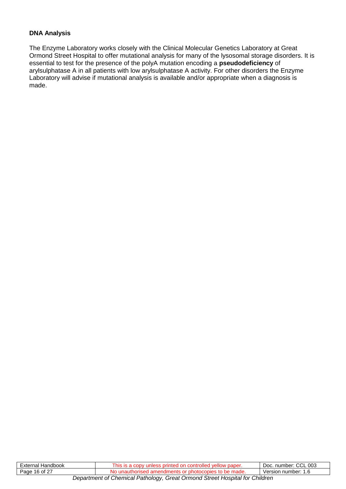#### **DNA Analysis**

The Enzyme Laboratory works closely with the Clinical Molecular Genetics Laboratory at Great Ormond Street Hospital to offer mutational analysis for many of the lysosomal storage disorders. It is essential to test for the presence of the polyA mutation encoding a **pseudodeficiency** of arylsulphatase A in all patients with low arylsulphatase A activity. For other disorders the Enzyme Laboratory will advise if mutational analysis is available and/or appropriate when a diagnosis is made.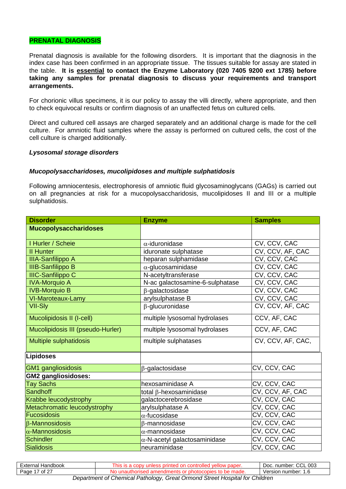#### **PRENATAL DIAGNOSIS**

Prenatal diagnosis is available for the following disorders. It is important that the diagnosis in the index case has been confirmed in an appropriate tissue. The tissues suitable for assay are stated in the table. **It is essential to contact the Enzyme Laboratory (020 7405 9200 ext 1785) before taking any samples for prenatal diagnosis to discuss your requirements and transport arrangements.**

For chorionic villus specimens, it is our policy to assay the villi directly, where appropriate, and then to check equivocal results or confirm diagnosis of an unaffected fetus on cultured cells.

Direct and cultured cell assays are charged separately and an additional charge is made for the cell culture. For amniotic fluid samples where the assay is performed on cultured cells, the cost of the cell culture is charged additionally.

#### *Lysosomal storage disorders*

#### *Mucopolysaccharidoses, mucolipidoses and multiple sulphatidosis*

Following amniocentesis, electrophoresis of amniotic fluid glycosaminoglycans (GAGs) is carried out on all pregnancies at risk for a mucopolysaccharidosis, mucolipidoses II and III or a multiple sulphatidosis.

| <b>Disorder</b>                   | <b>Enzyme</b>                        | <b>Samples</b>    |
|-----------------------------------|--------------------------------------|-------------------|
| <b>Mucopolysaccharidoses</b>      |                                      |                   |
| I Hurler / Scheie                 | $\alpha$ -iduronidase                | CV, CCV, CAC      |
| <b>II Hunter</b>                  | iduronate sulphatase                 | CV, CCV, AF, CAC  |
| <b>IIIA-Sanfilippo A</b>          | heparan sulphamidase                 | CV, CCV, CAC      |
| <b>IIIB-Sanfilippo B</b>          | $\alpha$ -glucosaminidase            | CV, CCV, CAC      |
| <b>IIIC-Sanfilippo C</b>          | N-acetyltransferase                  | CV, CCV, CAC      |
| <b>IVA-Morquio A</b>              | N-ac galactosamine-6-sulphatase      | CV, CCV, CAC      |
| <b>IVB-Morquio B</b>              | $\beta$ -galactosidase               | CV, CCV, CAC      |
| VI-Maroteaux-Lamy                 | arylsulphatase B                     | CV, CCV, CAC      |
| <b>VII-SI<sub>V</sub></b>         | $\beta$ -glucuronidase               | CV, CCV, AF, CAC  |
| Mucolipidosis II (I-cell)         | multiple lysosomal hydrolases        | CCV, AF, CAC      |
| Mucolipidosis III (pseudo-Hurler) | multiple lysosomal hydrolases        | CCV, AF, CAC      |
| <b>Multiple sulphatidosis</b>     | multiple sulphatases                 | CV, CCV, AF, CAC, |
| Lipidoses                         |                                      |                   |
| GM1 gangliosidosis                | $\beta$ -galactosidase               | CV, CCV, CAC      |
| <b>GM2 gangliosidoses:</b>        |                                      |                   |
| <b>Tay Sachs</b>                  | hexosaminidase A                     | CV, CCV, CAC      |
| Sandhoff                          | total $\beta$ -hexosaminidase        | CV, CCV, AF, CAC  |
| Krabbe leucodystrophy             | galactocerebrosidase                 | CV, CCV, CAC      |
| Metachromatic leucodystrophy      | arylsulphatase A                     | CV, CCV, CAC      |
| Fucosidosis                       | $\alpha$ -fucosidase                 | CV, CCV, CAC      |
| $\beta$ -Mannosidosis             | β-mannosidase                        | CV, CCV, CAC      |
| $\alpha$ -Mannosidosis            | $\alpha$ -mannosidase                | CV, CCV, CAC      |
| Schindler                         | $\alpha$ -N-acetyl galactosaminidase | CV, CCV, CAC      |
| Sialidosis                        | neuraminidase                        | CV, CCV, CAC      |

| External Handbook                                                           | This is a copy unless printed on controlled yellow paper. | Doc. number: CCL 003 |
|-----------------------------------------------------------------------------|-----------------------------------------------------------|----------------------|
| Page 17 of 27                                                               | No unauthorised amendments or photocopies to be made.     | Version number: 1.6  |
| Department of Chemical Pathology, Great Ormond Street Hospital for Children |                                                           |                      |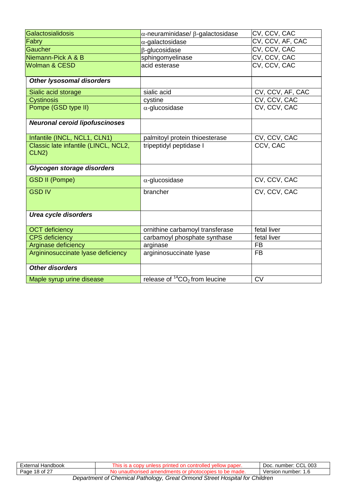| Galactosialidosis                             | $\alpha$ -neuraminidase/ $\beta$ -galactosidase | CV, CCV, CAC     |
|-----------------------------------------------|-------------------------------------------------|------------------|
| Fabry                                         | $\alpha$ -galactosidase                         | CV, CCV, AF, CAC |
| Gaucher                                       | $\beta$ -glucosidase                            | CV, CCV, CAC     |
| Niemann-Pick A & B                            | sphingomyelinase                                | CV, CCV, CAC     |
| <b>Wolman &amp; CESD</b>                      | acid esterase                                   | CV, CCV, CAC     |
| <b>Other lysosomal disorders</b>              |                                                 |                  |
| Sialic acid storage                           | sialic acid                                     | CV, CCV, AF, CAC |
| <b>Cystinosis</b>                             | cystine                                         | CV, CCV, CAC     |
| Pompe (GSD type II)                           | $\alpha$ -glucosidase                           | CV, CCV, CAC     |
| <b>Neuronal ceroid lipofuscinoses</b>         |                                                 |                  |
| Infantile (INCL, NCL1, CLN1)                  | palmitoyl protein thioesterase                  | CV, CCV, CAC     |
| Classic late infantile (LINCL, NCL2,<br>CLN2) | tripeptidyl peptidase I                         | CCV, CAC         |
| Glycogen storage disorders                    |                                                 |                  |
| <b>GSD II (Pompe)</b>                         | $\alpha$ -glucosidase                           | CV, CCV, CAC     |
| <b>GSD IV</b>                                 | brancher                                        | CV, CCV, CAC     |
| <b>Urea cycle disorders</b>                   |                                                 |                  |
| <b>OCT</b> deficiency                         | ornithine carbamoyl transferase                 | fetal liver      |
| <b>CPS</b> deficiency                         | carbamoyl phosphate synthase                    | fetal liver      |
| Arginase deficiency                           | arginase                                        | <b>FB</b>        |
| Argininosuccinate lyase deficiency            | argininosuccinate lyase                         | <b>FB</b>        |
| <b>Other disorders</b>                        |                                                 |                  |
| Maple syrup urine disease                     | release of ${}^{14}CO_2$ from leucine           | $\overline{CV}$  |

| ∟xternal<br>Handbook                        | <b>n</b> is<br>$\cdot$ . $\sim$ | $\sim$<br><b>CCL 003</b><br>number:<br>Doc. |  |
|---------------------------------------------|---------------------------------|---------------------------------------------|--|
| 10002<br>Page<br>▵                          | ™ Mauc. -                       | number:<br>Version<br>ں. ا                  |  |
| $\sim$ $\sim$<br>$\sim$<br>$\sim$<br>$\sim$ |                                 |                                             |  |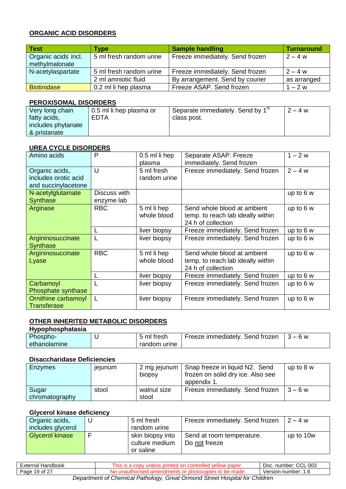#### **ORGANIC ACID DISORDERS**

| <b>Test</b>         | Type                    | <b>Sample handling</b>          | Turnaround  |
|---------------------|-------------------------|---------------------------------|-------------|
| Organic acids incl. | 5 ml fresh random urine | Freeze immediately. Send frozen | $2 - 4 w$   |
| methylmalonate      |                         |                                 |             |
| N-acetylaspartate   | 5 ml fresh random urine | Freeze immediately. Send frozen | $2 - 4 w$   |
|                     | 2 ml amniotic fluid     | By arrangement. Send by courier | as arranged |
| <b>Biotinidase</b>  | 0.2 ml li hep plasma    | Freeze ASAP. Send frozen        | $1 - 2 w$   |

#### **PEROXISOMAL DISORDERS**

| Very long chain    | 0.5 ml li hep plasma or | Separate immediately. Send by 1 <sup>st</sup> | $2 - 4 w$ |
|--------------------|-------------------------|-----------------------------------------------|-----------|
| fatty acids,       | EDTA                    | class post.                                   |           |
| includes phytanate |                         |                                               |           |
| & pristanate       |                         |                                               |           |

#### **UREA CYCLE DISORDERS**

| Amino acids                                                   | P                          | 0.5 ml li hep<br>plasma    | Separate ASAP. Freeze<br>immediately. Send frozen                                      | $1 - 2 w$   |
|---------------------------------------------------------------|----------------------------|----------------------------|----------------------------------------------------------------------------------------|-------------|
| Organic acids,<br>includes orotic acid<br>and succinylacetone | U                          | 5 ml fresh<br>random urine | Freeze immediately. Send frozen                                                        | $2 - 4 w$   |
| N-acetylglutamate<br><b>Synthase</b>                          | Discuss with<br>enzyme lab |                            |                                                                                        | up to 6 w   |
| Arginase                                                      | <b>RBC</b>                 | 5 ml li hep<br>whole blood | Send whole blood at ambient<br>temp. to reach lab ideally within<br>24 h of collection | up to $6 w$ |
|                                                               |                            | liver biopsy               | Freeze immediately. Send frozen                                                        | up to 6 w   |
| Argininosuccinate<br><b>Synthase</b>                          | L                          | liver biopsy               | Freeze immediately. Send frozen                                                        | up to $6 w$ |
| Argininosuccinate<br>Lyase                                    | <b>RBC</b>                 | 5 ml li hep<br>whole blood | Send whole blood at ambient<br>temp. to reach lab ideally within<br>24 h of collection | up to 6 w   |
|                                                               |                            | liver biopsy               | Freeze immediately. Send frozen                                                        | up to 6 w   |
| Carbamoyl<br>Phosphate synthase                               |                            | liver biopsy               | Freeze immediately. Send frozen                                                        | up to 6 w   |
| Ornithine carbamoyl<br><b>Transferase</b>                     | L                          | liver biopsy               | Freeze immediately. Send frozen                                                        | up to $6 w$ |

#### **OTHER INHERITED METABOLIC DISORDERS**

| Hypophosphatasia |              |                                                 |  |
|------------------|--------------|-------------------------------------------------|--|
| Phospho-         | 5 ml fresh   | Freeze immediately. Send frozen $\vert$ 3 – 6 w |  |
| ethanolamine     | random urine |                                                 |  |

#### **Disaccharidase Deficiencies**

| Enzymes                 | jejunum | biopsy               | 2 mg jejunum   Snap freeze in liquid N2. Send<br>frozen on solid dry ice. Also see<br>appendix 1. | up to $8 w$ |
|-------------------------|---------|----------------------|---------------------------------------------------------------------------------------------------|-------------|
| Sugar<br>chromatography | stool   | walnut size<br>stool | Freeze immediately. Send frozen                                                                   | $3 - 6 w$   |

#### **Glycerol kinase deficiency**

| Organic acids,         | 5 ml fresh                                      | Freeze immediately. Send frozen            | $12 - 4$ w |
|------------------------|-------------------------------------------------|--------------------------------------------|------------|
| includes glycerol      | random urine                                    |                                            |            |
| <b>Glycerol kinase</b> | skin biopsy into<br>culture medium<br>or saline | Send at room temperature.<br>Do not freeze | up to 10w  |

| External Handbook                                                           | This is a copy unless printed on controlled yellow paper. | Doc. number: CCL 003 |  |  |
|-----------------------------------------------------------------------------|-----------------------------------------------------------|----------------------|--|--|
| Page 19 of 27                                                               | No unauthorised amendments or photocopies to be made.     | Version number: 1.6  |  |  |
| Department of Chemical Pathology, Great Ormond Street Hospital for Children |                                                           |                      |  |  |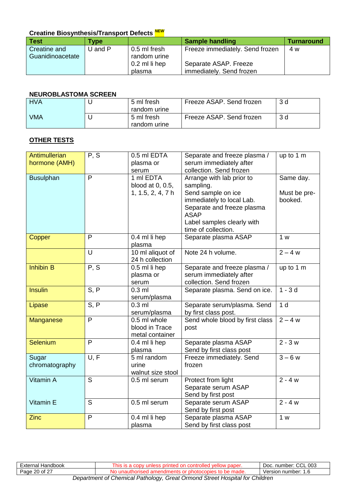#### **Creatine Biosynthesis/Transport Defects** *NEW*

| <b>Test</b>      | <b>Type</b> |               | <b>Sample handling</b>          | <b>Turnaround</b> |
|------------------|-------------|---------------|---------------------------------|-------------------|
| Creatine and     | $U$ and $P$ | 0.5 ml fresh  | Freeze immediately. Send frozen | 4 w               |
| Guanidinoacetate |             | random urine  |                                 |                   |
|                  |             | 0.2 ml li hep | Separate ASAP. Freeze           |                   |
|                  |             | plasma        | immediately. Send frozen        |                   |

#### **NEUROBLASTOMA SCREEN**

| <b>HVA</b> | 5 ml fresh<br>random urine | Freeze ASAP. Send frozen | 3 d |
|------------|----------------------------|--------------------------|-----|
| <b>VMA</b> | 5 ml fresh<br>random urine | Freeze ASAP. Send frozen | 3 d |

#### **OTHER TESTS**

| Antimullerian<br>hormone (AMH) | P, S | 0.5 ml EDTA<br>plasma or<br>serum                 | Separate and freeze plasma /<br>serum immediately after<br>collection. Send frozen                                                                | up to 1 m               |
|--------------------------------|------|---------------------------------------------------|---------------------------------------------------------------------------------------------------------------------------------------------------|-------------------------|
| <b>Busulphan</b>               | P    | 1 ml EDTA<br>blood at 0, 0.5,                     | Arrange with lab prior to<br>sampling.                                                                                                            | Same day.               |
|                                |      | 1, 1.5, 2, 4, 7 h                                 | Send sample on ice<br>immediately to local Lab.<br>Separate and freeze plasma<br><b>ASAP</b><br>Label samples clearly with<br>time of collection. | Must be pre-<br>booked. |
| Copper                         | P    | 0.4 ml li hep<br>plasma                           | Separate plasma ASAP                                                                                                                              | 1 w                     |
|                                | U    | 10 ml aliquot of<br>24 h collection               | Note 24 h volume.                                                                                                                                 | $2 - 4 w$               |
| <b>Inhibin B</b>               | P, S | 0.5 ml li hep<br>plasma or<br>serum               | Separate and freeze plasma /<br>serum immediately after<br>collection. Send frozen                                                                | up to 1 m               |
| <b>Insulin</b>                 | S, P | $0.3$ ml<br>serum/plasma                          | Separate plasma. Send on ice.                                                                                                                     | $1 - 3d$                |
| Lipase                         | S, P | $0.3$ ml<br>serum/plasma                          | Separate serum/plasma. Send<br>by first class post.                                                                                               | 1 <sub>d</sub>          |
| Manganese                      | P    | 0.5 ml whole<br>blood in Trace<br>metal container | Send whole blood by first class<br>post                                                                                                           | $2 - 4 w$               |
| <b>Selenium</b>                | P    | 0.4 ml li hep<br>plasma                           | Separate plasma ASAP<br>Send by first class post                                                                                                  | $2 - 3w$                |
| Sugar<br>chromatography        | U, F | 5 ml random<br>urine<br>walnut size stool         | Freeze immediately. Send<br>frozen                                                                                                                | $3 - 6 w$               |
| Vitamin A                      | S    | 0.5 ml serum                                      | Protect from light<br>Separate serum ASAP<br>Send by first post                                                                                   | $2 - 4 w$               |
| Vitamin E                      | S    | 0.5 ml serum                                      | Separate serum ASAP<br>Send by first post                                                                                                         | $2 - 4 w$               |
| <b>Zinc</b>                    | P    | 0.4 ml li hep<br>plasma                           | Separate plasma ASAP<br>Send by first class post                                                                                                  | 1 w                     |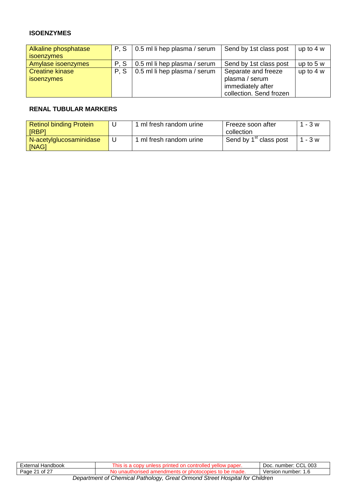#### **ISOENZYMES**

| Alkaline phosphatase                 | P.S | 0.5 ml li hep plasma / serum | Send by 1st class post                                                                | up to $4 w$ |
|--------------------------------------|-----|------------------------------|---------------------------------------------------------------------------------------|-------------|
| <i>isoenzymes</i>                    |     |                              |                                                                                       |             |
| Amylase isoenzymes                   | P.S | 0.5 ml li hep plasma / serum | Send by 1st class post                                                                | up to $5 w$ |
| <b>Creatine kinase</b><br>isoenzymes | P.S | 0.5 ml li hep plasma / serum | Separate and freeze<br>plasma / serum<br>immediately after<br>collection. Send frozen | up to $4 w$ |

#### **RENAL TUBULAR MARKERS**

| <b>Retinol binding Protein</b><br>[RBP] | ml fresh random urine | Freeze soon after<br>collection    | - 3 w     |
|-----------------------------------------|-----------------------|------------------------------------|-----------|
| N-acetylglucosaminidase<br>[NAG]        | ml fresh random urine | Send by 1 <sup>st</sup> class post | $1 - 3 w$ |

| External<br>Handbook                                                        | paper.<br>nıs<br>unies<br>s ormeo | CCL 003<br>Doc. number: |
|-----------------------------------------------------------------------------|-----------------------------------|-------------------------|
| . of 2 $7$<br>Page 21                                                       | Ωr<br>צוו                         | Version number: 1.6     |
| Department of Chamical Dathology, Croot Ormand Stroot Hoopital for Children |                                   |                         |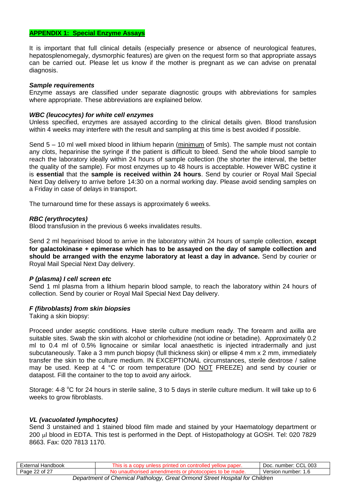#### **APPENDIX 1: Special Enzyme Assays**

It is important that full clinical details (especially presence or absence of neurological features, hepatosplenomegaly, dysmorphic features) are given on the request form so that appropriate assays can be carried out. Please let us know if the mother is pregnant as we can advise on prenatal diagnosis.

#### *Sample requirements*

Enzyme assays are classified under separate diagnostic groups with abbreviations for samples where appropriate. These abbreviations are explained below.

#### *WBC (leucocytes) for white cell enzymes*

Unless specified, enzymes are assayed according to the clinical details given. Blood transfusion within 4 weeks may interfere with the result and sampling at this time is best avoided if possible.

Send 5 – 10 ml well mixed blood in lithium heparin (minimum of 5mls). The sample must not contain any clots, heparinise the syringe if the patient is difficult to bleed. Send the whole blood sample to reach the laboratory ideally within 24 hours of sample collection (the shorter the interval, the better the quality of the sample). For most enzymes up to 48 hours is acceptable. However WBC cystine it is **essential** that the **sample is received within 24 hours**. Send by courier or Royal Mail Special Next Day delivery to arrive before 14:30 on a normal working day. Please avoid sending samples on a Friday in case of delays in transport.

The turnaround time for these assays is approximately 6 weeks.

#### *RBC (erythrocytes)*

Blood transfusion in the previous 6 weeks invalidates results.

Send 2 ml heparinised blood to arrive in the laboratory within 24 hours of sample collection, **except for galactokinase + epimerase which has to be assayed on the day of sample collection and should be arranged with the enzyme laboratory at least a day in advance.** Send by courier or Royal Mail Special Next Day delivery.

#### *P (plasma) I cell screen etc*

Send 1 ml plasma from a lithium heparin blood sample, to reach the laboratory within 24 hours of collection. Send by courier or Royal Mail Special Next Day delivery.

#### *F (fibroblasts) from skin biopsies*

Taking a skin biopsy:

Proceed under aseptic conditions. Have sterile culture medium ready. The forearm and axilla are suitable sites. Swab the skin with alcohol or chlorhexidine (not iodine or betadine). Approximately 0.2 ml to 0.4 ml of 0.5% lignocaine or similar local anaesthetic is injected intradermally and just subcutaneously. Take a 3 mm punch biopsy (full thickness skin) or ellipse 4 mm x 2 mm, immediately transfer the skin to the culture medium. IN EXCEPTIONAL circumstances, sterile dextrose / saline may be used. Keep at 4 °C or room temperature (DO NOT FREEZE) and send by courier or datapost. Fill the container to the top to avoid any airlock.

Storage: 4-8 °C for 24 hours in sterile saline, 3 to 5 days in sterile culture medium. It will take up to 6 weeks to grow fibroblasts.

#### *VL (vacuolated lymphocytes)*

Send 3 unstained and 1 stained blood film made and stained by your Haematology department or 200 µl blood in EDTA. This test is performed in the Dept. of Histopathology at GOSH. Tel: 020 7829 8663. Fax: 020 7813 1170.

| Handbook<br>:xternal  | .nis<br>эть<br>w paper. | $\sim$<br>003<br>DOC.<br>number:<br><b>UUL</b> |
|-----------------------|-------------------------|------------------------------------------------|
| $\sim$<br>Page<br>nt. | NC<br>made.             | number:<br>'sıon<br>۵۳ ،<br>.<br>$\sqrt{2}$    |
|                       |                         |                                                |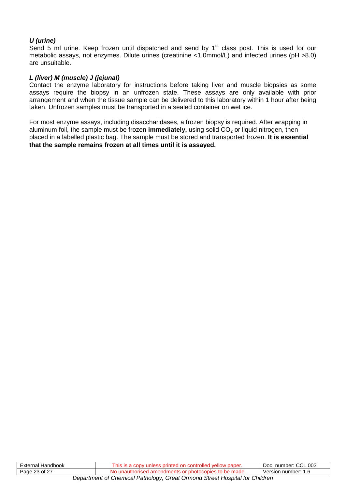#### *U (urine)*

Send 5 ml urine. Keep frozen until dispatched and send by 1<sup>st</sup> class post. This is used for our metabolic assays, not enzymes. Dilute urines (creatinine <1.0mmol/L) and infected urines (pH >8.0) are unsuitable.

#### *L (liver) M (muscle) J (jejunal)*

Contact the enzyme laboratory for instructions before taking liver and muscle biopsies as some assays require the biopsy in an unfrozen state. These assays are only available with prior arrangement and when the tissue sample can be delivered to this laboratory within 1 hour after being taken. Unfrozen samples must be transported in a sealed container on wet ice.

For most enzyme assays, including disaccharidases, a frozen biopsy is required. After wrapping in aluminum foil, the sample must be frozen **immediately**, using solid CO<sub>2</sub> or liquid nitrogen, then placed in a labelled plastic bag. The sample must be stored and transported frozen. **It is essential that the sample remains frozen at all times until it is assayed.**

| External Handbook                                                           | This is a copy unless printed on controlled yellow paper. | Doc. number: CCL 003 |
|-----------------------------------------------------------------------------|-----------------------------------------------------------|----------------------|
| Page 23 of 27                                                               | No unauthorised amendments or photocopies to be made.     | Version number: 1.6  |
| Department of Chemical Pathology, Great Ormond Street Hospital for Children |                                                           |                      |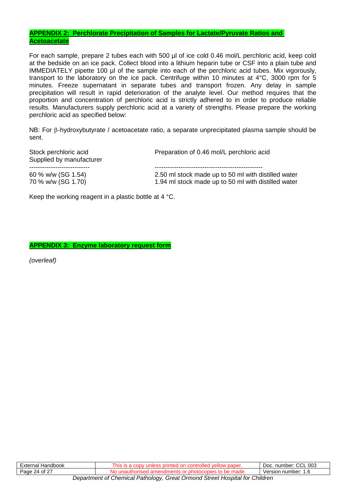#### **APPENDIX 2: Perchlorate Precipitation of Samples for Lactate/Pyruvate Ratios and Acetoacetate**

For each sample, prepare 2 tubes each with 500 µl of ice cold 0.46 mol/L perchloric acid, keep cold at the bedside on an ice pack. Collect blood into a lithium heparin tube or CSF into a plain tube and IMMEDIATELY pipette 100 µl of the sample into each of the perchloric acid tubes. Mix vigorously, transport to the laboratory on the ice pack. Centrifuge within 10 minutes at 4°C, 3000 rpm for 5 minutes. Freeze supernatant in separate tubes and transport frozen. Any delay in sample precipitation will result in rapid deterioration of the analyte level. Our method requires that the proportion and concentration of perchloric acid is strictly adhered to in order to produce reliable results. Manufacturers supply perchloric acid at a variety of strengths. Please prepare the working perchloric acid as specified below:

NB: For  $\beta$ -hydroxybutyrate / acetoacetate ratio, a separate unprecipitated plasma sample should be sent.

Stock perchloric acid **Preparation of 0.46 mol/L perchloric acid** Preparation of 0.46 mol/L perchloric acid Supplied by manufacturer ---------------------------- -------------------------------------------------- 60 % w/w (SG 1.54) 2.50 ml stock made up to 50 ml with distilled water 70 % w/w (SG 1.70) 1.94 ml stock made up to 50 ml with distilled water

Keep the working reagent in a plastic bottle at 4 °C.

**APPENDIX 3: Enzyme laboratory request form** 

*(overleaf)*

| External<br>Handbook                                                           | ייר<br>וזר<br><br>uauer. | $\sim$<br>CCL 003<br>number:<br>ാറല |
|--------------------------------------------------------------------------------|--------------------------|-------------------------------------|
| Page 24 of 27                                                                  |                          | Version number:<br>.                |
| Den subject of Obenical Deficilence Ourst Ouveral Object Hermital fra Obildura |                          |                                     |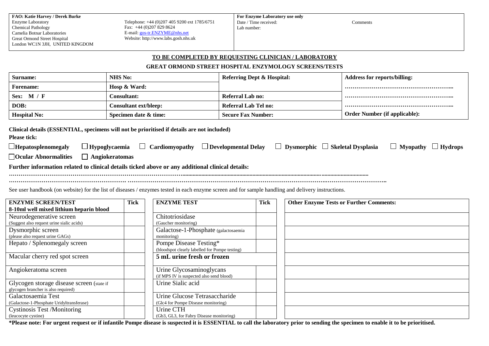| <b>FAO: Katie Harvey / Derek Burke</b> |
|----------------------------------------|
| <b>Enzyme Laboratory</b>               |
| <b>Chemical Pathology</b>              |
| Camelia Botnar Laboratories            |
| Great Ormond Street Hospital           |
| London WC1N 3JH, UNITED KINGDOM        |

Telephone: +44 (0)207 405 9200 ext 1785/6751 Fax: +44 (0)207 829 8624 E-mail[: gos-tr.ENZYME@nhs.net](mailto:gos-tr.ENZYME@nhs.net) Website: http://www.labs.gosh.nhs.uk

Comments

#### **TO BE COMPLETED BY REQUESTING CLINICIAN / LABORATORY**

#### **GREAT ORMOND STREET HOSPITAL ENZYMOLOGY SCREENS/TESTS**

| Surname:                                                                                                                                                                                                                                                                    | <b>NHS No:</b>               |                                                                          | <b>Referring Dept &amp; Hospital:</b> |                                             | <b>Address for reports/billing:</b>            |
|-----------------------------------------------------------------------------------------------------------------------------------------------------------------------------------------------------------------------------------------------------------------------------|------------------------------|--------------------------------------------------------------------------|---------------------------------------|---------------------------------------------|------------------------------------------------|
| <b>Forename:</b>                                                                                                                                                                                                                                                            | Hosp & Ward:                 |                                                                          |                                       |                                             |                                                |
| Sex: M / F                                                                                                                                                                                                                                                                  | Consultant:                  |                                                                          | <b>Referral Lab no:</b>               |                                             |                                                |
| DOB:                                                                                                                                                                                                                                                                        | <b>Consultant ext/bleep:</b> |                                                                          | <b>Referral Lab Tel no:</b>           |                                             |                                                |
| <b>Hospital No:</b>                                                                                                                                                                                                                                                         | Specimen date & time:        |                                                                          | <b>Secure Fax Number:</b>             |                                             | <b>Order Number (if applicable):</b>           |
| Clinical details (ESSENTIAL, specimens will not be prioritised if details are not included)<br><b>Please tick:</b><br>$\Box$ Hepatosplenomegaly<br>Ocular Abnormalities<br>Further information related to clinical details ticked above or any additional clinical details: | $\Box$ Angiokeratomas        | $\Box$ Hypoglycaemia $\Box$ Cardiomyopathy $\Box$ Developmental Delay    |                                       | $\Box$ Dysmorphic $\Box$ Skeletal Dysplasia | $\Box$ Myopathy $\Box$ Hydrops                 |
| See user handbook (on website) for the list of diseases / enzymes tested in each enzyme screen and for sample handling and delivery instructions.<br><b>ENZYME SCREEN/TEST</b>                                                                                              | <b>Tick</b>                  | <b>ENZYME TEST</b>                                                       | <b>Tick</b>                           |                                             | <b>Other Enzyme Tests or Further Comments:</b> |
| 8-10ml well mixed lithium heparin blood<br>Neurodegenerative screen                                                                                                                                                                                                         |                              | Chitotriosidase                                                          |                                       |                                             |                                                |
| (Suggest also request urine sialic acids)                                                                                                                                                                                                                                   |                              | (Gaucher monitoring)                                                     |                                       |                                             |                                                |
| Dysmorphic screen<br>(please also request urine GAGs)                                                                                                                                                                                                                       |                              | Galactose-1-Phosphate (galactosaemia<br>monitoring)                      |                                       |                                             |                                                |
| Hepato / Splenomegaly screen                                                                                                                                                                                                                                                |                              | Pompe Disease Testing*<br>(bloodspot clearly labelled for Pompe testing) |                                       |                                             |                                                |
| Macular cherry red spot screen                                                                                                                                                                                                                                              |                              | 5 mL urine fresh or frozen                                               |                                       |                                             |                                                |
| Angiokeratoma screen                                                                                                                                                                                                                                                        |                              | Urine Glycosaminoglycans<br>(if MPS IV is suspected also send blood)     |                                       |                                             |                                                |
| Glycogen storage disease screen (state if<br>glycogen brancher is also required)                                                                                                                                                                                            |                              | Urine Sialic acid                                                        |                                       |                                             |                                                |
| Galactosaemia Test<br>(Galactose-1-Phosphate Uridyltransferase)                                                                                                                                                                                                             |                              | Urine Glucose Tetrasaccharide<br>(Glc4 for Pompe Disease monitoring)     |                                       |                                             |                                                |
| <b>Cystinosis Test /Monitoring</b><br>(leucocyte cystine)                                                                                                                                                                                                                   |                              | Urine CTH<br>(Gb3, GL3, for Fabry Disease monitoring)                    |                                       |                                             |                                                |

**\*Please note: For urgent request or if infantile Pompe disease is suspected it is ESSENTIAL to call the laboratory prior to sending the specimen to enable it to be prioritised.**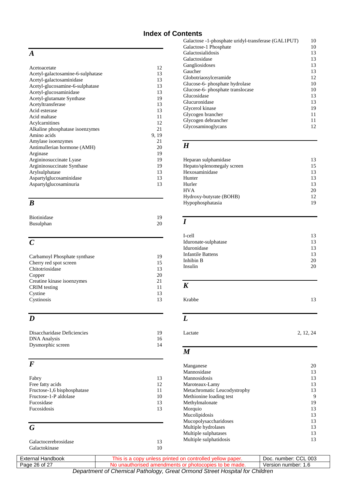### **Index of Contents**

### *A*

| Acetoacetate                      | 12    |
|-----------------------------------|-------|
| Acetyl-galactosamine-6-sulphatase | 13    |
| Acetyl-galactosaminidase          | 13    |
| Acetyl-glucosamine-6-sulphatase   | 13    |
| Acetyl-glucosaminidase            | 13    |
| Acetyl-glutamate Synthase         | 19    |
| Acetyltransferase                 | 13    |
| Acid esterase                     | 13    |
| Acid maltase                      | 11    |
| Acylcarnitines                    | 12    |
| Alkaline phosphatase isoenzymes   | 21    |
| Amino acids                       | 9, 19 |
| Amylase isoenzymes                | 21    |
| Antimullerian hormone (AMH)       | 20    |
| Arginase                          | 19    |
| Argininosuccinate Lyase           | 19    |
| Argininosuccinate Synthase        | 19    |
| Arylsulphatase                    | 13    |
| Aspartylglucosaminidase           | 13    |
| Aspartylglucosaminuria            | 13    |
|                                   |       |

### *B*

| <b>Biotinidase</b> | 19 |
|--------------------|----|
| Busulphan          | 20 |

### *C*

| Carbamoyl Phosphate synthase | 19 |
|------------------------------|----|
| Cherry red spot screen       | 15 |
| Chitotriosidase              | 13 |
| Copper                       | 20 |
| Creatine kinase isoenzymes   | 21 |
| <b>CRIM</b> testing          | 11 |
| Cystine                      | 13 |
| Cystinosis                   | 13 |
|                              |    |

## *D*

| Disaccharidase Deficiencies | 19 |
|-----------------------------|----|
| <b>DNA</b> Analysis         | 16 |
| Dysmorphic screen           | 14 |

### *F*

| Fabry                       | 13 |
|-----------------------------|----|
| Free fatty acids            | 12 |
| Fructose-1,6 bisphosphatase | 11 |
| Fructose-1-P aldolase       | 10 |
| Fucosidase                  | 13 |
| Fucosidosis                 | 13 |
|                             |    |

### *G*

| Galactocerebrosidase |  |
|----------------------|--|
| Galactokinase        |  |

| Galactose -1-phosphate uridyl-transferase (GAL1PUT) | 10 |
|-----------------------------------------------------|----|
| Galactose-1 Phosphate                               | 10 |
| Galactosialidosis                                   | 13 |
| Galactosidase                                       | 13 |
| Gangliosidoses                                      | 13 |
| Gaucher                                             | 13 |
| Globotriaosylceramide                               | 12 |
| Glucose-6- phosphate hydrolase                      | 10 |
| Glucose-6- phosphate translocase                    | 10 |
| Glucosidase                                         | 13 |
| Glucuronidase                                       | 13 |
| Glycerol kinase                                     | 19 |
| Glycogen brancher                                   | 11 |
| Glycogen debrancher                                 | 11 |
| Glycosaminoglycans                                  | 12 |
|                                                     |    |

### *H*

| Heparan sulphamidase       | 13  |
|----------------------------|-----|
| Hepato/splenomegaly screen | 15  |
| Hexosaminidase             | 13  |
| Hunter                     | 13  |
| Hurler                     | 13  |
| <b>HVA</b>                 | 20  |
| Hydroxy-butyrate (BOHB)    | 12. |
| Hypophosphatasia           | 19  |

### *I*

| 13 |
|----|
| 13 |
| 13 |
| 13 |
| 20 |
| 20 |
|    |

### *K*

| Krabbe | 13 |
|--------|----|
|        |    |

### *L*

```
Lactate 2, 12, 24
```
### *M*

| Manganese                    | 20 |
|------------------------------|----|
| Mannosidase                  | 13 |
| Mannosidosis                 | 13 |
| Maroteaux-Lamy               | 13 |
| Metachromatic Leucodystrophy | 13 |
| Methionine loading test      | 9  |
| Methylmalonate               | 19 |
| Morquio                      | 13 |
| Mucolipidosis                | 13 |
| Mucopolysaccharidoses        | 13 |
| Multiple hydrolases          | 13 |
| Multiple sulphatases         | 13 |
| Multiple sulphatidosis       | 13 |
|                              |    |

| External Handbook                                                           | This is a copy unless printed on controlled yellow paper. | Doc. number: CCL 003 |
|-----------------------------------------------------------------------------|-----------------------------------------------------------|----------------------|
| Page 26 of 27                                                               | No unauthorised amendments or photocopies to be made.     | Version number: 1.6  |
| Department of Chemical Pathology, Great Ormond Street Hospital for Children |                                                           |                      |